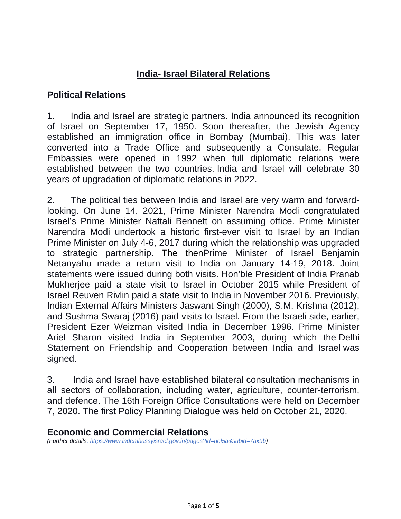# **India- Israel Bilateral Relations**

## **Political Relations**

1. India and Israel are strategic partners. India announced its recognition of Israel on September 17, 1950. Soon thereafter, the Jewish Agency established an immigration office in Bombay (Mumbai). This was later converted into a Trade Office and subsequently a Consulate. Regular Embassies were opened in 1992 when full diplomatic relations were established between the two countries. India and Israel will celebrate 30 years of upgradation of diplomatic relations in 2022.

2. The political ties between India and Israel are very warm and forwardlooking. On June 14, 2021, Prime Minister Narendra Modi congratulated Israel's Prime Minister Naftali Bennett on assuming office. Prime Minister Narendra Modi undertook a historic first-ever visit to Israel by an Indian Prime Minister on July 4-6, 2017 during which the relationship was upgraded to strategic partnership. The thenPrime Minister of Israel Benjamin Netanyahu made a return visit to India on January 14-19, 2018. Joint statements were issued during both visits. Hon'ble President of India Pranab Mukherjee paid a state visit to Israel in October 2015 while President of Israel Reuven Rivlin paid a state visit to India in November 2016. Previously, Indian External Affairs Ministers Jaswant Singh (2000), S.M. Krishna (2012), and Sushma Swaraj (2016) paid visits to Israel. From the Israeli side, earlier, President Ezer Weizman visited India in December 1996. Prime Minister Ariel Sharon visited India in September 2003, during which the Delhi Statement on Friendship and Cooperation between India and Israel was signed.

3. India and Israel have established bilateral consultation mechanisms in all sectors of collaboration, including water, agriculture, counter-terrorism, and defence. The 16th Foreign Office Consultations were held on December 7, 2020. The first Policy Planning Dialogue was held on October 21, 2020.

#### **Economic and Commercial Relations**

*(Further details: [https://www.indembassyisrael.gov.in/pages?id=nel5a&subid=7ax9b\)](https://www.indembassyisrael.gov.in/pages?id=nel5a&subid=7ax9b)*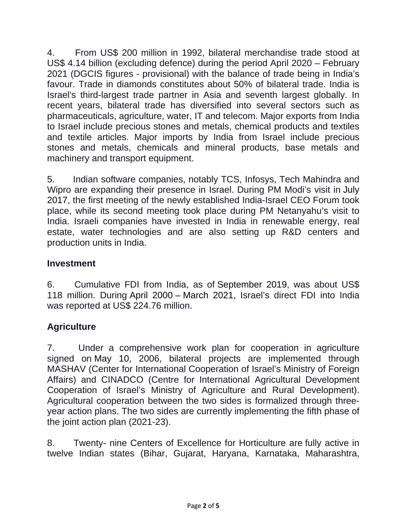4. From US\$ 200 million in 1992, bilateral merchandise trade stood at US\$ 4.14 billion (excluding defence) during the period April 2020 – February 2021 (DGCIS figures - provisional) with the balance of trade being in India's favour. Trade in diamonds constitutes about 50% of bilateral trade. India is Israel's third-largest trade partner in Asia and seventh largest globally. In recent years, bilateral trade has diversified into several sectors such as pharmaceuticals, agriculture, water, IT and telecom. Major exports from India to Israel include precious stones and metals, chemical products and textiles and textile articles. Major imports by India from Israel include precious stones and metals, chemicals and mineral products, base metals and machinery and transport equipment.

5. Indian software companies, notably TCS, Infosys, Tech Mahindra and Wipro are expanding their presence in Israel. During PM Modi's visit in July 2017, the first meeting of the newly established India-Israel CEO Forum took place, while its second meeting took place during PM Netanyahu's visit to India. Israeli companies have invested in India in renewable energy, real estate, water technologies and are also setting up R&D centers and production units in India.

### **Investment**

6. Cumulative FDI from India, as of September 2019, was about US\$ 118 million. During April 2000 – March 2021, Israel's direct FDI into India was reported at US\$ 224.76 million.

# **Agriculture**

7. Under a comprehensive work plan for cooperation in agriculture signed on May 10, 2006, bilateral projects are implemented through MASHAV (Center for International Cooperation of Israel's Ministry of Foreign Affairs) and CINADCO (Centre for International Agricultural Development Cooperation of Israel's Ministry of Agriculture and Rural Development). Agricultural cooperation between the two sides is formalized through threeyear action plans. The two sides are currently implementing the fifth phase of the joint action plan (2021-23).

8. Twenty- nine Centers of Excellence for Horticulture are fully active in twelve Indian states (Bihar, Gujarat, Haryana, Karnataka, Maharashtra,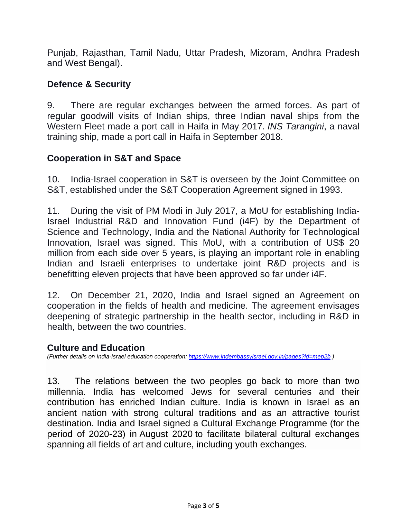Punjab, Rajasthan, Tamil Nadu, Uttar Pradesh, Mizoram, Andhra Pradesh and West Bengal).

## **Defence & Security**

9. There are regular exchanges between the armed forces. As part of regular goodwill visits of Indian ships, three Indian naval ships from the Western Fleet made a port call in Haifa in May 2017. *INS Tarangini*, a naval training ship, made a port call in Haifa in September 2018.

## **Cooperation in S&T and Space**

10. India-Israel cooperation in S&T is overseen by the Joint Committee on S&T, established under the S&T Cooperation Agreement signed in 1993.

11. During the visit of PM Modi in July 2017, a MoU for establishing India-Israel Industrial R&D and Innovation Fund (i4F) by the Department of Science and Technology, India and the National Authority for Technological Innovation, Israel was signed. This MoU, with a contribution of US\$ 20 million from each side over 5 years, is playing an important role in enabling Indian and Israeli enterprises to undertake joint R&D projects and is benefitting eleven projects that have been approved so far under i4F.

12. On December 21, 2020, India and Israel signed an Agreement on cooperation in the fields of health and medicine. The agreement envisages deepening of strategic partnership in the health sector, including in R&D in health, between the two countries.

#### **Culture and Education**

*(Further details on India-Israel education cooperation:<https://www.indembassyisrael.gov.in/pages?id=mep2b> )*

13. The relations between the two peoples go back to more than two millennia. India has welcomed Jews for several centuries and their contribution has enriched Indian culture. India is known in Israel as an ancient nation with strong cultural traditions and as an attractive tourist destination. India and Israel signed a Cultural Exchange Programme (for the period of 2020-23) in August 2020 to facilitate bilateral cultural exchanges spanning all fields of art and culture, including youth exchanges.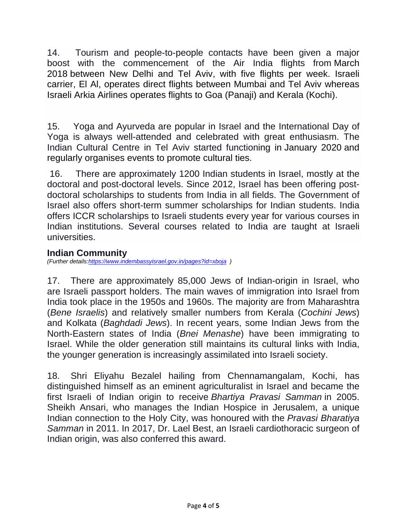14. Tourism and people-to-people contacts have been given a major boost with the commencement of the Air India flights from March 2018 between New Delhi and Tel Aviv, with five flights per week. Israeli carrier, El Al, operates direct flights between Mumbai and Tel Aviv whereas Israeli Arkia Airlines operates flights to Goa (Panaji) and Kerala (Kochi).

15. Yoga and Ayurveda are popular in Israel and the International Day of Yoga is always well-attended and celebrated with great enthusiasm. The Indian Cultural Centre in Tel Aviv started functioning in January 2020 and regularly organises events to promote cultural ties.

16. There are approximately 1200 Indian students in Israel, mostly at the doctoral and post-doctoral levels. Since 2012, Israel has been offering postdoctoral scholarships to students from India in all fields. The Government of Israel also offers short-term summer scholarships for Indian students. India offers ICCR scholarships to Israeli students every year for various courses in Indian institutions. Several courses related to India are taught at Israeli universities.

#### **Indian Community**

*(Further details[:https://www.indembassyisrael.gov.in/pages?id=xboja](https://www.indembassyisrael.gov.in/pages?id=xboja) )*

17. There are approximately 85,000 Jews of Indian-origin in Israel, who are Israeli passport holders. The main waves of immigration into Israel from India took place in the 1950s and 1960s. The majority are from Maharashtra (*Bene Israelis*) and relatively smaller numbers from Kerala (*Cochini Jews*) and Kolkata (*Baghdadi Jews*). In recent years, some Indian Jews from the North-Eastern states of India (*Bnei Menashe*) have been immigrating to Israel. While the older generation still maintains its cultural links with India, the younger generation is increasingly assimilated into Israeli society.

18. Shri Eliyahu Bezalel hailing from Chennamangalam, Kochi, has distinguished himself as an eminent agriculturalist in Israel and became the first Israeli of Indian origin to receive *Bhartiya Pravasi Samman* in 2005. Sheikh Ansari, who manages the Indian Hospice in Jerusalem, a unique Indian connection to the Holy City, was honoured with the *Pravasi Bharatiya Samman* in 2011. In 2017, Dr. Lael Best, an Israeli cardiothoracic surgeon of Indian origin, was also conferred this award.